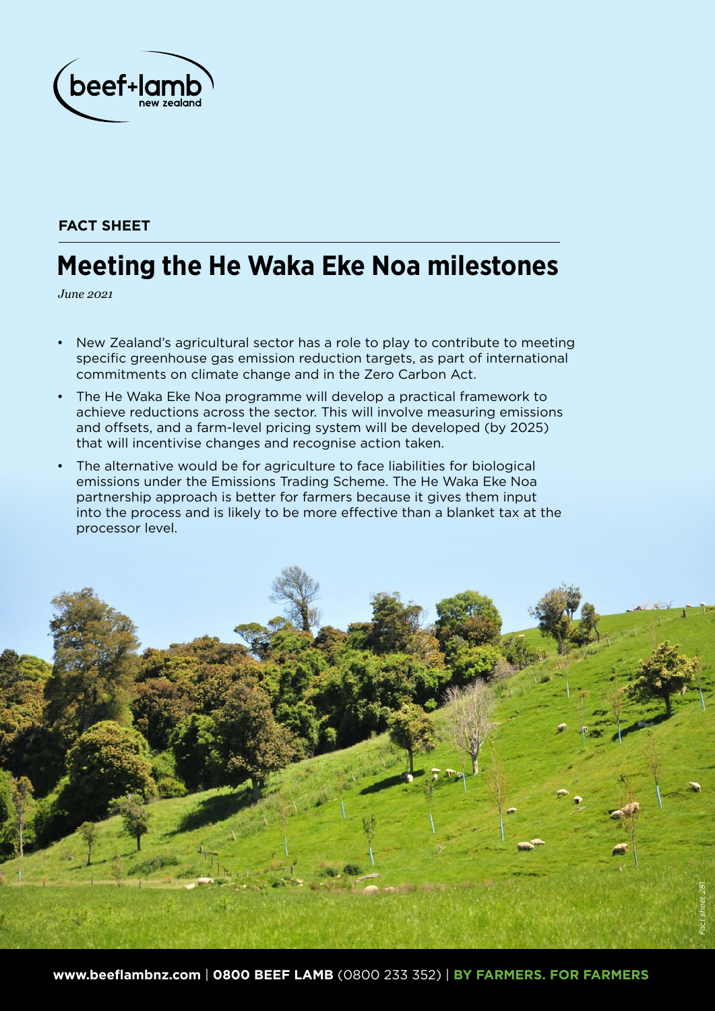

# **FACT SHEET**

# **Meeting the He Waka Eke Noa milestones**

*June 2021*

- New Zealand's agricultural sector has a role to play to contribute to meeting specific greenhouse gas emission reduction targets, as part of international commitments on climate change and in the Zero Carbon Act.
- The He Waka Eke Noa programme will develop a practical framework to achieve reductions across the sector. This will involve measuring emissions and offsets, and a farm-level pricing system will be developed (by 2025) that will incentivise changes and recognise action taken.
- The alternative would be for agriculture to face liabilities for biological emissions under the Emissions Trading Scheme. The He Waka Eke Noa partnership approach is better for farmers because it gives them input into the process and is likely to be more effective than a blanket tax at the processor level.

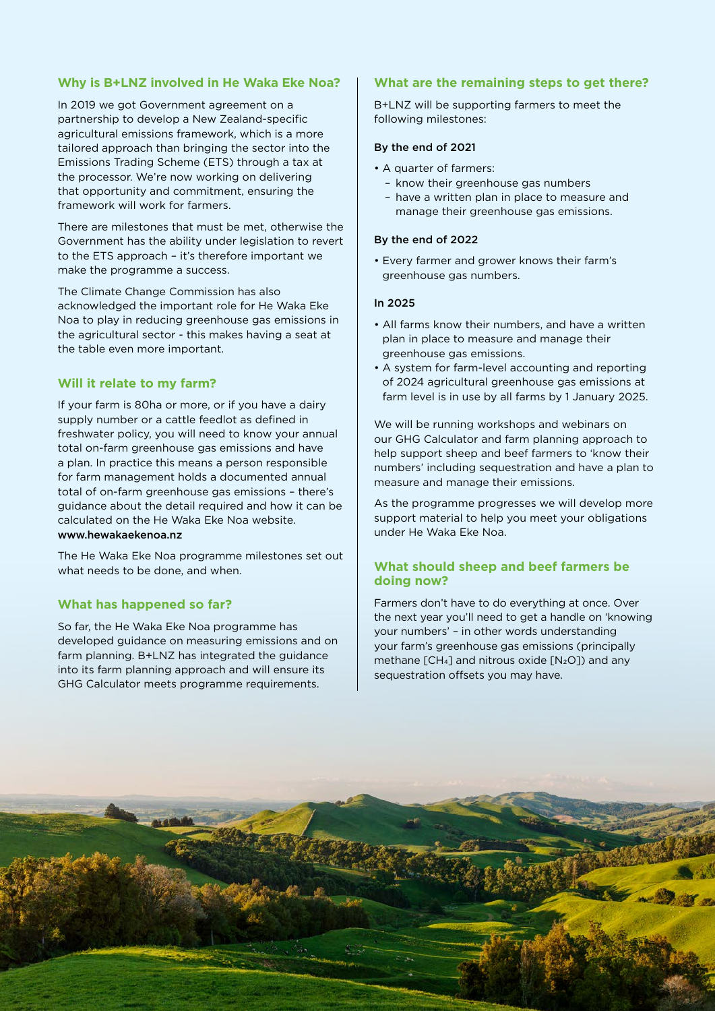## **Why is B+LNZ involved in He Waka Eke Noa?**

In 2019 we got Government agreement on a partnership to develop a New Zealand-specific agricultural emissions framework, which is a more tailored approach than bringing the sector into the Emissions Trading Scheme (ETS) through a tax at the processor. We're now working on delivering that opportunity and commitment, ensuring the framework will work for farmers.

There are milestones that must be met, otherwise the Government has the ability under legislation to revert to the ETS approach – it's therefore important we make the programme a success.

The Climate Change Commission has also acknowledged the important role for He Waka Eke Noa to play in reducing greenhouse gas emissions in the agricultural sector - this makes having a seat at the table even more important.

# **Will it relate to my farm?**

If your farm is 80ha or more, or if you have a dairy supply number or a cattle feedlot as defined in freshwater policy, you will need to know your annual total on-farm greenhouse gas emissions and have a plan. In practice this means a person responsible for farm management holds a documented annual total of on-farm greenhouse gas emissions – there's guidance about the detail required and how it can be calculated on the He Waka Eke Noa website. www.hewakaekenoa.nz

The He Waka Eke Noa programme milestones set out what needs to be done, and when.

### **What has happened so far?**

So far, the He Waka Eke Noa programme has developed guidance on measuring emissions and on farm planning. B+LNZ has integrated the guidance into its farm planning approach and will ensure its GHG Calculator meets programme requirements.

#### **What are the remaining steps to get there?**

B+LNZ will be supporting farmers to meet the following milestones:

#### By the end of 2021

- A quarter of farmers:
	- know their greenhouse gas numbers
	- have a written plan in place to measure and manage their greenhouse gas emissions.

#### By the end of 2022

• Every farmer and grower knows their farm's greenhouse gas numbers.

#### In 2025

- All farms know their numbers, and have a written plan in place to measure and manage their greenhouse gas emissions.
- A system for farm-level accounting and reporting of 2024 agricultural greenhouse gas emissions at farm level is in use by all farms by 1 January 2025.

We will be running workshops and webinars on our GHG Calculator and farm planning approach to help support sheep and beef farmers to 'know their numbers' including sequestration and have a plan to measure and manage their emissions.

As the programme progresses we will develop more support material to help you meet your obligations under He Waka Eke Noa.

#### **What should sheep and beef farmers be doing now?**

Farmers don't have to do everything at once. Over the next year you'll need to get a handle on 'knowing your numbers' – in other words understanding your farm's greenhouse gas emissions (principally methane  $\lceil CH_4 \rceil$  and nitrous oxide  $\lceil N_2O \rceil$  and any sequestration offsets you may have.

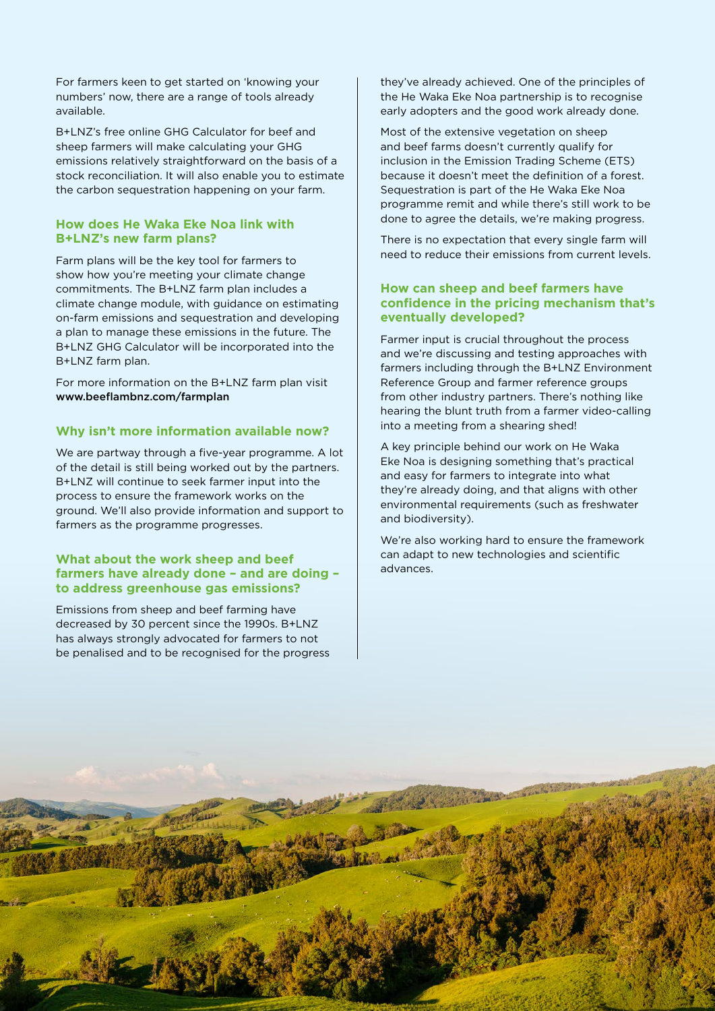For farmers keen to get started on 'knowing your numbers' now, there are a range of tools already available.

B+LNZ's free online GHG Calculator for beef and sheep farmers will make calculating your GHG emissions relatively straightforward on the basis of a stock reconciliation. It will also enable you to estimate the carbon sequestration happening on your farm.

#### **How does He Waka Eke Noa link with B+LNZ's new farm plans?**

Farm plans will be the key tool for farmers to show how you're meeting your climate change commitments. The B+LNZ farm plan includes a climate change module, with guidance on estimating on-farm emissions and sequestration and developing a plan to manage these emissions in the future. The B+LNZ GHG Calculator will be incorporated into the B+LNZ farm plan.

For more information on the B+LNZ farm plan visit www.beeflambnz.com/farmplan

#### **Why isn't more information available now?**

We are partway through a five-year programme. A lot of the detail is still being worked out by the partners. B+LNZ will continue to seek farmer input into the process to ensure the framework works on the ground. We'll also provide information and support to farmers as the programme progresses.

#### **What about the work sheep and beef farmers have already done – and are doing – to address greenhouse gas emissions?**

Emissions from sheep and beef farming have decreased by 30 percent since the 1990s. B+LNZ has always strongly advocated for farmers to not be penalised and to be recognised for the progress they've already achieved. One of the principles of the He Waka Eke Noa partnership is to recognise early adopters and the good work already done.

Most of the extensive vegetation on sheep and beef farms doesn't currently qualify for inclusion in the Emission Trading Scheme (ETS) because it doesn't meet the definition of a forest. Sequestration is part of the He Waka Eke Noa programme remit and while there's still work to be done to agree the details, we're making progress.

There is no expectation that every single farm will need to reduce their emissions from current levels.

#### **How can sheep and beef farmers have confidence in the pricing mechanism that's eventually developed?**

Farmer input is crucial throughout the process and we're discussing and testing approaches with farmers including through the B+LNZ Environment Reference Group and farmer reference groups from other industry partners. There's nothing like hearing the blunt truth from a farmer video-calling into a meeting from a shearing shed!

A key principle behind our work on He Waka Eke Noa is designing something that's practical and easy for farmers to integrate into what they're already doing, and that aligns with other environmental requirements (such as freshwater and biodiversity).

We're also working hard to ensure the framework can adapt to new technologies and scientific advances.